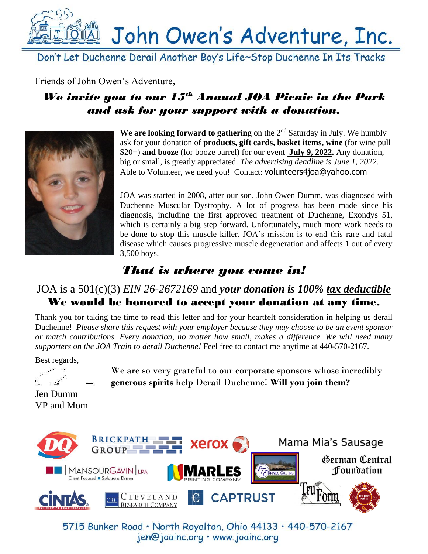

Don't Let Duchenne Derail Another Boy's Life~Stop Duchenne In Its Tracks

Friends of John Owen's Adventure,

# *We invite you to our 15 th Annual JOA Picnic in the Park and ask for your support with a donation.*



**We are looking forward to gathering** on the 2<sup>nd</sup> Saturday in July. We humbly ask for your donation of **products, gift cards, basket items, wine (**for wine pull \$20+) **and booze** (for booze barrel) for our event **July 9, 2022.** Any donation, big or small, is greatly appreciated. *The advertising deadline is June 1, 2022.*  Able to Volunteer, we need you! Contact: volunt[eers4joa@yahoo.com](mailto:volunteers4joa@yahoo.com)

JOA was started in 2008, after our son, John Owen Dumm, was diagnosed with Duchenne Muscular Dystrophy. A lot of progress has been made since his diagnosis, including the first approved treatment of Duchenne, Exondys 51, which is certainly a big step forward. Unfortunately, much more work needs to be done to stop this muscle killer. JOA's mission is to end this rare and fatal disease which causes progressive muscle degeneration and affects 1 out of every 3,500 boys.

# *That is where you come in!*

## JOA is a 501(c)(3) *EIN 26-2672169* and *your donation is 100% tax deductible* We would be honored to accept your donation at any time.

Thank you for taking the time to read this letter and for your heartfelt consideration in helping us derail Duchenne! *Please share this request with your employer because they may choose to be an event sponsor or match contributions. Every donation, no matter how small, makes a difference. We will need many supporters on the JOA Train to derail Duchenne!* Feel free to contact me anytime at 440-570-2167.

Best regards,



We are so very grateful to our corporate sponsors whose incredibly **generous spirits** help Derail Duchenne! **Will you join them?**

Jen Dumm VP and Mom



5715 Bunker Road · North Royalton, Ohio 44133 · 440-570-2167 jen@joainc.org · www.joainc.org